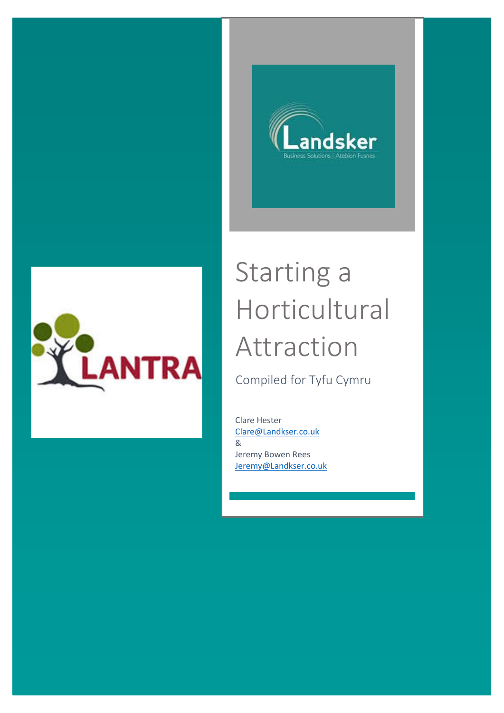



# Starting a Horticultural Attraction

Compiled for Tyfu Cymru

Clare Hester [Clare@Landkser.co.uk](mailto:Clare@Landkser.co.uk) & Jeremy Bowen Rees [Jeremy@Landkser.co.uk](mailto:Jeremy@Landkser.co.uk)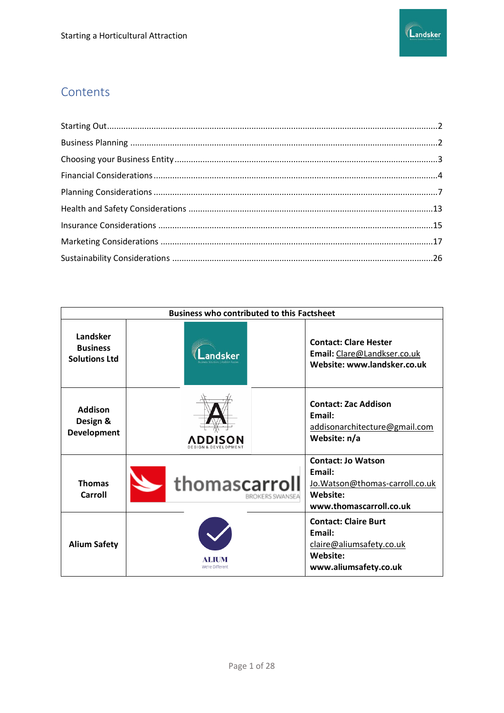

# Contents

| <b>Business who contributed to this Factsheet</b>   |                                  |                                                                                                               |
|-----------------------------------------------------|----------------------------------|---------------------------------------------------------------------------------------------------------------|
| Landsker<br><b>Business</b><br><b>Solutions Ltd</b> |                                  | <b>Contact: Clare Hester</b><br>Email: Clare@Landkser.co.uk<br>Website: www.landsker.co.uk                    |
| Addison<br>Design &<br><b>Development</b>           | ADDIS                            | <b>Contact: Zac Addison</b><br>Email:<br>addisonarchitecture@gmail.com<br>Website: n/a                        |
| <b>Thomas</b><br>Carroll                            | thomascarroll<br>BROKERS SWANSEA | <b>Contact: Jo Watson</b><br>Email:<br>Jo. Watson@thomas-carroll.co.uk<br>Website:<br>www.thomascarroll.co.uk |
| <b>Alium Safety</b>                                 | We're Different                  | <b>Contact: Claire Burt</b><br>Email:<br>claire@aliumsafety.co.uk<br>Website:<br>www.aliumsafety.co.uk        |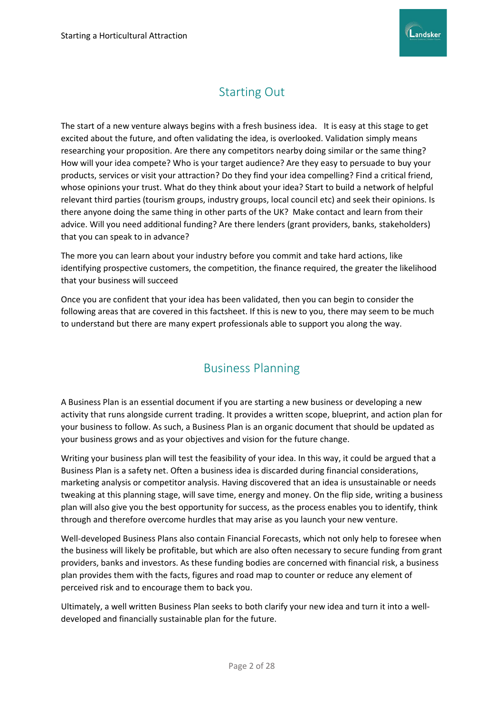

# Starting Out

<span id="page-2-0"></span>The start of a new venture always begins with a fresh business idea. It is easy at this stage to get excited about the future, and often validating the idea, is overlooked. Validation simply means researching your proposition. Are there any competitors nearby doing similar or the same thing? How will your idea compete? Who is your target audience? Are they easy to persuade to buy your products, services or visit your attraction? Do they find your idea compelling? Find a critical friend, whose opinions your trust. What do they think about your idea? Start to build a network of helpful relevant third parties (tourism groups, industry groups, local council etc) and seek their opinions. Is there anyone doing the same thing in other parts of the UK? Make contact and learn from their advice. Will you need additional funding? Are there lenders (grant providers, banks, stakeholders) that you can speak to in advance?

The more you can learn about your industry before you commit and take hard actions, like identifying prospective customers, the competition, the finance required, the greater the likelihood that your business will succeed

Once you are confident that your idea has been validated, then you can begin to consider the following areas that are covered in this factsheet. If this is new to you, there may seem to be much to understand but there are many expert professionals able to support you along the way.

# Business Planning

<span id="page-2-1"></span>A Business Plan is an essential document if you are starting a new business or developing a new activity that runs alongside current trading. It provides a written scope, blueprint, and action plan for your business to follow. As such, a Business Plan is an organic document that should be updated as your business grows and as your objectives and vision for the future change.

Writing your business plan will test the feasibility of your idea. In this way, it could be argued that a Business Plan is a safety net. Often a business idea is discarded during financial considerations, marketing analysis or competitor analysis. Having discovered that an idea is unsustainable or needs tweaking at this planning stage, will save time, energy and money. On the flip side, writing a business plan will also give you the best opportunity for success, as the process enables you to identify, think through and therefore overcome hurdles that may arise as you launch your new venture.

Well-developed Business Plans also contain Financial Forecasts, which not only help to foresee when the business will likely be profitable, but which are also often necessary to secure funding from grant providers, banks and investors. As these funding bodies are concerned with financial risk, a business plan provides them with the facts, figures and road map to counter or reduce any element of perceived risk and to encourage them to back you.

Ultimately, a well written Business Plan seeks to both clarify your new idea and turn it into a welldeveloped and financially sustainable plan for the future.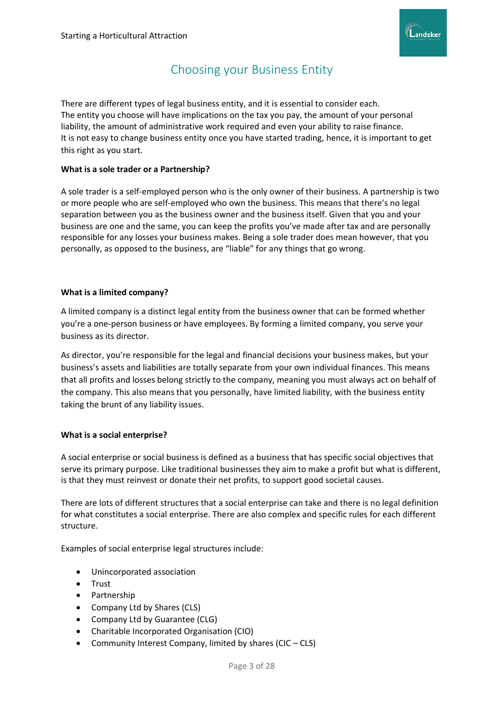

# Choosing your Business Entity

<span id="page-3-0"></span>There are different types of legal business entity, and it is essential to consider each. The entity you choose will have implications on the tax you pay, the amount of your personal liability, the amount of administrative work required and even your ability to raise finance. It is not easy to change business entity once you have started trading, hence, it is important to get this right as you start.

#### **What is a sole trader or a Partnership?**

A sole trader is a self-employed person who is the only owner of their business. A partnership is two or more people who are self-employed who own the business. This means that there's no legal separation between you as the business owner and the business itself. Given that you and your business are one and the same, you can keep the profits you've made after tax and are personally responsible for any losses your business makes. Being a sole trader does mean however, that you personally, as opposed to the business, are "liable" for any things that go wrong.

#### **What is a limited company?**

A limited company is a distinct legal entity from the business owner that can be formed whether you're a one-person business or have employees. By forming a limited company, you serve your business as its director.

As director, you're responsible for the legal and financial decisions your business makes, but your business's assets and liabilities are totally separate from your own individual finances. This means that all profits and losses belong strictly to the company, meaning you must always act on behalf of the company. This also means that you personally, have limited liability, with the business entity taking the brunt of any liability issues.

#### **What is a social enterprise?**

A social enterprise or social business is defined as a business that has specific social objectives that serve its primary purpose. Like traditional businesses they aim to make a profit but what is different, is that they must reinvest or donate their net profits, to support good societal causes.

There are lots of different structures that a social enterprise can take and there is no legal definition for what constitutes a social enterprise. There are also complex and specific rules for each different structure.

Examples of social enterprise legal structures include:

- Unincorporated association
- Trust
- Partnership
- Company Ltd by Shares (CLS)
- Company Ltd by Guarantee (CLG)
- Charitable Incorporated Organisation (CIO)
- Community Interest Company, limited by shares (CIC CLS)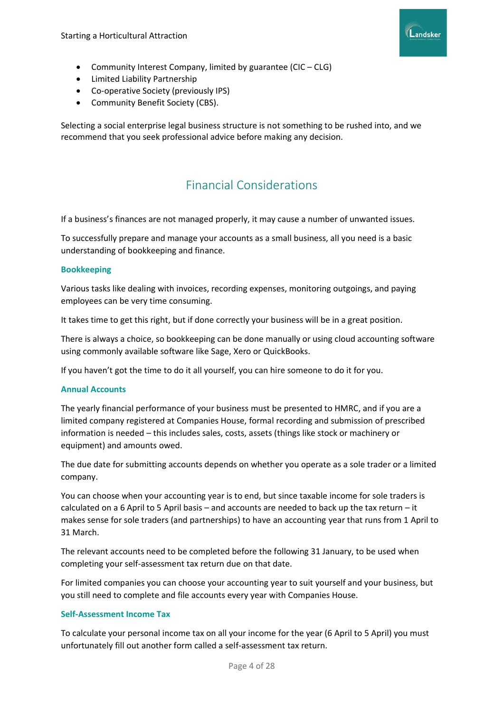

- Community Interest Company, limited by guarantee (CIC CLG)
- Limited Liability Partnership
- Co-operative Society (previously IPS)
- Community Benefit Society (CBS).

Selecting a social enterprise legal business structure is not something to be rushed into, and we recommend that you seek professional advice before making any decision.

# Financial Considerations

<span id="page-4-0"></span>If a business's finances are not managed properly, it may cause a number of unwanted issues.

To successfully prepare and manage your accounts as a small business, all you need is a basic understanding of bookkeeping and finance.

#### **Bookkeeping**

Various tasks like dealing with invoices, recording expenses, monitoring outgoings, and paying employees can be very time consuming.

It takes time to get this right, but if done correctly your business will be in a great position.

There is always a choice, so bookkeeping can be done manually or using cloud accounting software using commonly available software like Sage, Xero or QuickBooks.

If you haven't got the time to do it all yourself, you can hire someone to do it for you.

#### **Annual Accounts**

The yearly financial performance of your business must be presented to HMRC, and if you are a limited company registered at Companies House, formal recording and submission of prescribed information is needed – this includes sales, costs, assets (things like stock or machinery or equipment) and amounts owed.

The due date for submitting accounts depends on whether you operate as a sole trader or a limited company.

You can choose when your accounting year is to end, but since taxable income for sole traders is calculated on a 6 April to 5 April basis – and accounts are needed to back up the tax return – it makes sense for sole traders (and partnerships) to have an accounting year that runs from 1 April to 31 March.

The relevant accounts need to be completed before the following 31 January, to be used when completing your self-assessment tax return due on that date.

For limited companies you can choose your accounting year to suit yourself and your business, but you still need to complete and file accounts every year with Companies House.

# **Self-Assessment Income Tax**

To calculate your personal income tax on all your income for the year (6 April to 5 April) you must unfortunately fill out another form called a self-assessment tax return.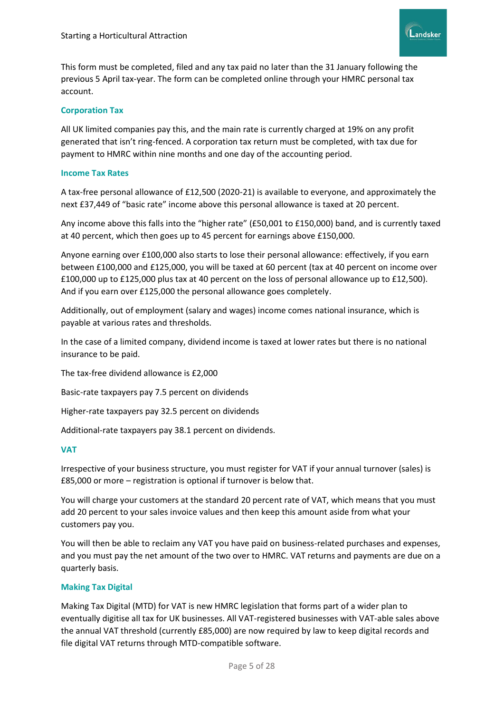

This form must be completed, filed and any tax paid no later than the 31 January following the previous 5 April tax-year. The form can be completed online through your HMRC personal tax account.

#### **Corporation Tax**

All UK limited companies pay this, and the main rate is currently charged at 19% on any profit generated that isn't ring-fenced. A corporation tax return must be completed, with tax due for payment to HMRC within nine months and one day of the accounting period.

#### **Income Tax Rates**

A tax-free personal allowance of £12,500 (2020-21) is available to everyone, and approximately the next £37,449 of "basic rate" income above this personal allowance is taxed at 20 percent.

Any income above this falls into the "higher rate" (£50,001 to £150,000) band, and is currently taxed at 40 percent, which then goes up to 45 percent for earnings above £150,000.

Anyone earning over £100,000 also starts to lose their personal allowance: effectively, if you earn between £100,000 and £125,000, you will be taxed at 60 percent (tax at 40 percent on income over £100,000 up to £125,000 plus tax at 40 percent on the loss of personal allowance up to £12,500). And if you earn over £125,000 the personal allowance goes completely.

Additionally, out of employment (salary and wages) income comes national insurance, which is payable at various rates and thresholds.

In the case of a limited company, dividend income is taxed at lower rates but there is no national insurance to be paid.

The tax-free dividend allowance is £2,000

Basic-rate taxpayers pay 7.5 percent on dividends

Higher-rate taxpayers pay 32.5 percent on dividends

Additional-rate taxpayers pay 38.1 percent on dividends.

#### **VAT**

Irrespective of your business structure, you must register for VAT if your annual turnover (sales) is £85,000 or more – registration is optional if turnover is below that.

You will charge your customers at the standard 20 percent rate of VAT, which means that you must add 20 percent to your sales invoice values and then keep this amount aside from what your customers pay you.

You will then be able to reclaim any VAT you have paid on business-related purchases and expenses, and you must pay the net amount of the two over to HMRC. VAT returns and payments are due on a quarterly basis.

#### **Making Tax Digital**

Making Tax Digital (MTD) for VAT is new HMRC legislation that forms part of a wider plan to eventually digitise all tax for UK businesses. All VAT-registered businesses with VAT-able sales above the annual VAT threshold (currently £85,000) are now required by law to keep digital records and file digital VAT returns through MTD-compatible software.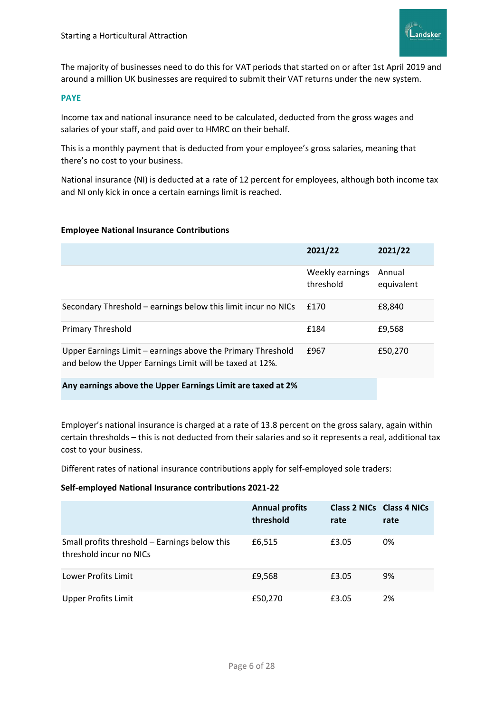

The majority of businesses need to do this for VAT periods that started on or after 1st April 2019 and around a million UK businesses are required to submit their VAT returns under the new system.

#### **PAYE**

Income tax and national insurance need to be calculated, deducted from the gross wages and salaries of your staff, and paid over to HMRC on their behalf.

This is a monthly payment that is deducted from your employee's gross salaries, meaning that there's no cost to your business.

National insurance (NI) is deducted at a rate of 12 percent for employees, although both income tax and NI only kick in once a certain earnings limit is reached.

#### **Employee National Insurance Contributions**

|                                                                                                                         | 2021/22                      | 2021/22              |
|-------------------------------------------------------------------------------------------------------------------------|------------------------------|----------------------|
|                                                                                                                         | Weekly earnings<br>threshold | Annual<br>equivalent |
| Secondary Threshold – earnings below this limit incur no NICs                                                           | £170                         | £8,840               |
| <b>Primary Threshold</b>                                                                                                | £184                         | £9,568               |
| Upper Earnings Limit – earnings above the Primary Threshold<br>and below the Upper Earnings Limit will be taxed at 12%. | £967                         | £50,270              |

#### **Any earnings above the Upper Earnings Limit are taxed at 2%**

Employer's national insurance is charged at a rate of 13.8 percent on the gross salary, again within certain thresholds – this is not deducted from their salaries and so it represents a real, additional tax cost to your business.

Different rates of national insurance contributions apply for self-employed sole traders:

#### **Self-employed National Insurance contributions 2021-22**

|                                                                          | <b>Annual profits</b><br>threshold | Class 2 NICs Class 4 NICs<br>rate | rate |
|--------------------------------------------------------------------------|------------------------------------|-----------------------------------|------|
| Small profits threshold - Earnings below this<br>threshold incur no NICs | £6,515                             | £3.05                             | 0%   |
| Lower Profits Limit                                                      | £9,568                             | £3.05                             | 9%   |
| <b>Upper Profits Limit</b>                                               | £50,270                            | £3.05                             | 2%   |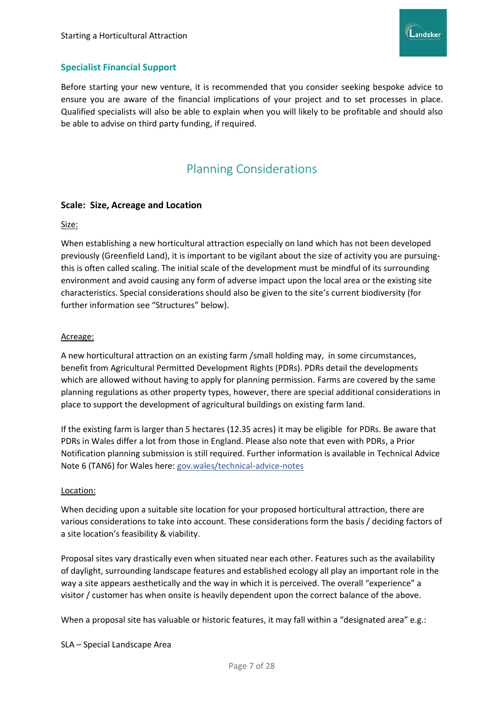

# **Specialist Financial Support**

Before starting your new venture, it is recommended that you consider seeking bespoke advice to ensure you are aware of the financial implications of your project and to set processes in place. Qualified specialists will also be able to explain when you will likely to be profitable and should also be able to advise on third party funding, if required.

# Planning Considerations

#### <span id="page-7-0"></span>**Scale: Size, Acreage and Location**

#### Size:

When establishing a new horticultural attraction especially on land which has not been developed previously (Greenfield Land), it is important to be vigilant about the size of activity you are pursuingthis is often called scaling. The initial scale of the development must be mindful of its surrounding environment and avoid causing any form of adverse impact upon the local area or the existing site characteristics. Special considerations should also be given to the site's current biodiversity (for further information see "Structures" below).

#### Acreage:

A new horticultural attraction on an existing farm /small holding may, in some circumstances, benefit from Agricultural Permitted Development Rights (PDRs). PDRs detail the developments which are allowed without having to apply for planning permission. Farms are covered by the same planning regulations as other property types, however, there are special additional considerations in place to support the development of agricultural buildings on existing farm land.

If the existing farm is larger than 5 hectares (12.35 acres) it may be eligible for PDRs. Be aware that PDRs in Wales differ a lot from those in England. Please also note that even with PDRs, a Prior Notification planning submission is still required. Further information is available in Technical Advice Note 6 (TAN6) for Wales here: gov.wales/technical-advice-notes

#### Location:

When deciding upon a suitable site location for your proposed horticultural attraction, there are various considerations to take into account. These considerations form the basis / deciding factors of a site location's feasibility & viability.

Proposal sites vary drastically even when situated near each other. Features such as the availability of daylight, surrounding landscape features and established ecology all play an important role in the way a site appears aesthetically and the way in which it is perceived. The overall "experience" a visitor / customer has when onsite is heavily dependent upon the correct balance of the above.

When a proposal site has valuable or historic features, it may fall within a "designated area" e.g.:

SLA – Special Landscape Area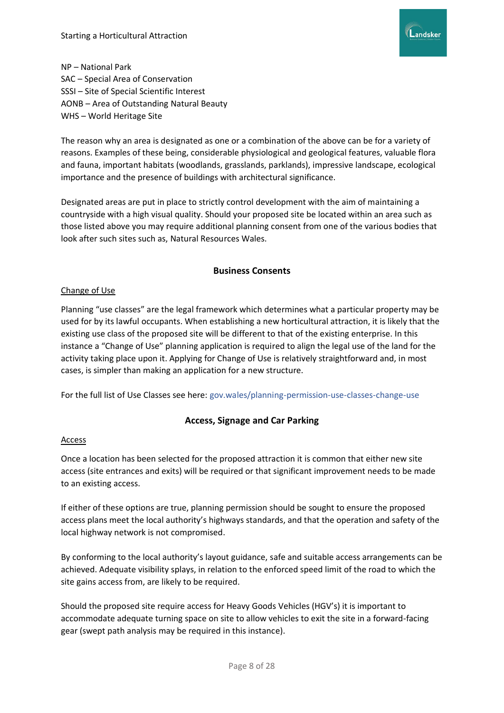

NP – National Park SAC – Special Area of Conservation SSSI – Site of Special Scientific Interest AONB – Area of Outstanding Natural Beauty WHS – World Heritage Site

The reason why an area is designated as one or a combination of the above can be for a variety of reasons. Examples of these being, considerable physiological and geological features, valuable flora and fauna, important habitats (woodlands, grasslands, parklands), impressive landscape, ecological importance and the presence of buildings with architectural significance.

Designated areas are put in place to strictly control development with the aim of maintaining a countryside with a high visual quality. Should your proposed site be located within an area such as those listed above you may require additional planning consent from one of the various bodies that look after such sites such as, Natural Resources Wales.

#### **Business Consents**

#### Change of Use

Planning "use classes" are the legal framework which determines what a particular property may be used for by its lawful occupants. When establishing a new horticultural attraction, it is likely that the existing use class of the proposed site will be different to that of the existing enterprise. In this instance a "Change of Use" planning application is required to align the legal use of the land for the activity taking place upon it. Applying for Change of Use is relatively straightforward and, in most cases, is simpler than making an application for a new structure.

For the full list of Use Classes see here: gov.wales/planning-permission-use-classes-change-use

# **Access, Signage and Car Parking**

#### **Access**

Once a location has been selected for the proposed attraction it is common that either new site access (site entrances and exits) will be required or that significant improvement needs to be made to an existing access.

If either of these options are true, planning permission should be sought to ensure the proposed access plans meet the local authority's highways standards, and that the operation and safety of the local highway network is not compromised.

By conforming to the local authority's layout guidance, safe and suitable access arrangements can be achieved. Adequate visibility splays, in relation to the enforced speed limit of the road to which the site gains access from, are likely to be required.

Should the proposed site require access for Heavy Goods Vehicles (HGV's) it is important to accommodate adequate turning space on site to allow vehicles to exit the site in a forward-facing gear (swept path analysis may be required in this instance).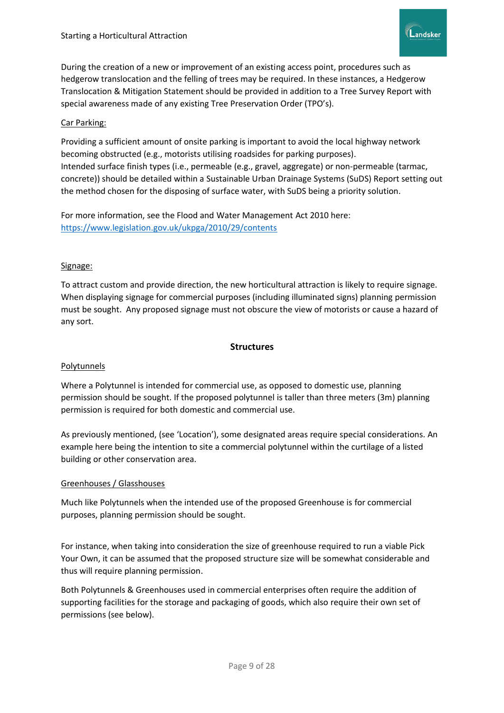

During the creation of a new or improvement of an existing access point, procedures such as hedgerow translocation and the felling of trees may be required. In these instances, a Hedgerow Translocation & Mitigation Statement should be provided in addition to a Tree Survey Report with special awareness made of any existing Tree Preservation Order (TPO's).

### Car Parking:

Providing a sufficient amount of onsite parking is important to avoid the local highway network becoming obstructed (e.g., motorists utilising roadsides for parking purposes). Intended surface finish types (i.e., permeable (e.g., gravel, aggregate) or non-permeable (tarmac, concrete)) should be detailed within a Sustainable Urban Drainage Systems (SuDS) Report setting out the method chosen for the disposing of surface water, with SuDS being a priority solution.

For more information, see the Flood and Water Management Act 2010 here: <https://www.legislation.gov.uk/ukpga/2010/29/contents>

#### Signage:

To attract custom and provide direction, the new horticultural attraction is likely to require signage. When displaying signage for commercial purposes (including illuminated signs) planning permission must be sought. Any proposed signage must not obscure the view of motorists or cause a hazard of any sort.

#### **Structures**

#### Polytunnels

Where a Polytunnel is intended for commercial use, as opposed to domestic use, planning permission should be sought. If the proposed polytunnel is taller than three meters (3m) planning permission is required for both domestic and commercial use.

As previously mentioned, (see 'Location'), some designated areas require special considerations. An example here being the intention to site a commercial polytunnel within the curtilage of a listed building or other conservation area.

#### Greenhouses / Glasshouses

Much like Polytunnels when the intended use of the proposed Greenhouse is for commercial purposes, planning permission should be sought.

For instance, when taking into consideration the size of greenhouse required to run a viable Pick Your Own, it can be assumed that the proposed structure size will be somewhat considerable and thus will require planning permission.

Both Polytunnels & Greenhouses used in commercial enterprises often require the addition of supporting facilities for the storage and packaging of goods, which also require their own set of permissions (see below).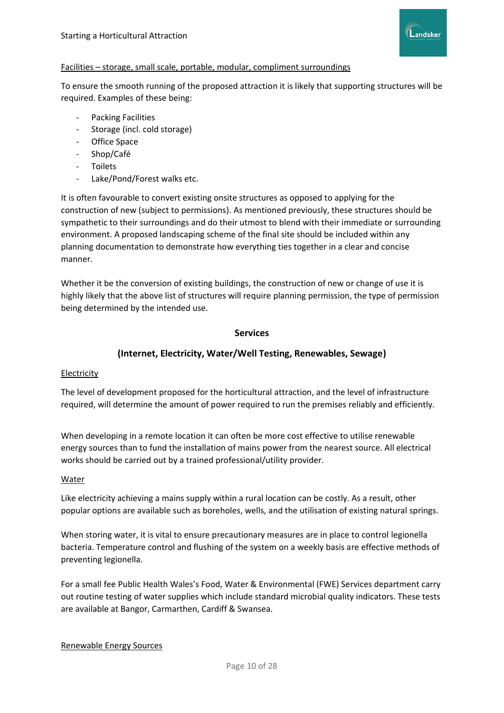

#### Facilities – storage, small scale, portable, modular, compliment surroundings

To ensure the smooth running of the proposed attraction it is likely that supporting structures will be required. Examples of these being:

- Packing Facilities
- Storage (incl. cold storage)
- Office Space
- Shop/Café
- **Toilets**
- Lake/Pond/Forest walks etc.

It is often favourable to convert existing onsite structures as opposed to applying for the construction of new (subject to permissions). As mentioned previously, these structures should be sympathetic to their surroundings and do their utmost to blend with their immediate or surrounding environment. A proposed landscaping scheme of the final site should be included within any planning documentation to demonstrate how everything ties together in a clear and concise manner.

Whether it be the conversion of existing buildings, the construction of new or change of use it is highly likely that the above list of structures will require planning permission, the type of permission being determined by the intended use.

# **Services**

# **(Internet, Electricity, Water/Well Testing, Renewables, Sewage)**

#### Electricity

The level of development proposed for the horticultural attraction, and the level of infrastructure required, will determine the amount of power required to run the premises reliably and efficiently.

When developing in a remote location it can often be more cost effective to utilise renewable energy sources than to fund the installation of mains power from the nearest source. All electrical works should be carried out by a trained professional/utility provider.

#### Water

Like electricity achieving a mains supply within a rural location can be costly. As a result, other popular options are available such as boreholes, wells, and the utilisation of existing natural springs.

When storing water, it is vital to ensure precautionary measures are in place to control legionella bacteria. Temperature control and flushing of the system on a weekly basis are effective methods of preventing legionella.

For a small fee Public Health Wales's Food, Water & Environmental (FWE) Services department carry out routine testing of water supplies which include standard microbial quality indicators. These tests are available at Bangor, Carmarthen, Cardiff & Swansea.

#### Renewable Energy Sources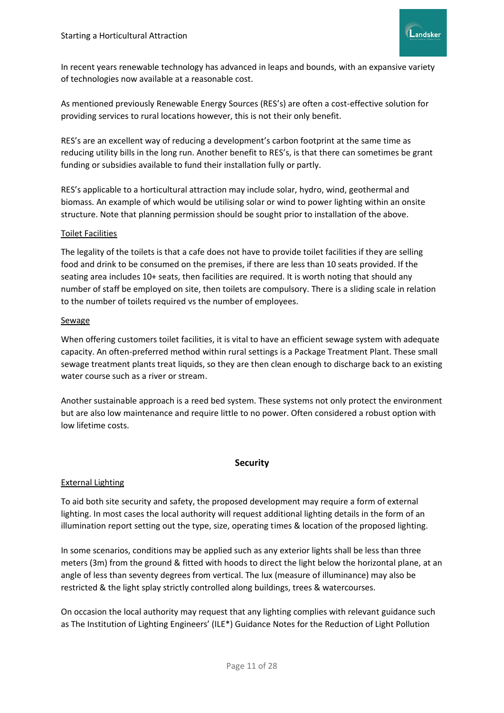

In recent years renewable technology has advanced in leaps and bounds, with an expansive variety of technologies now available at a reasonable cost.

As mentioned previously Renewable Energy Sources (RES's) are often a cost-effective solution for providing services to rural locations however, this is not their only benefit.

RES's are an excellent way of reducing a development's carbon footprint at the same time as reducing utility bills in the long run. Another benefit to RES's, is that there can sometimes be grant funding or subsidies available to fund their installation fully or partly.

RES's applicable to a horticultural attraction may include solar, hydro, wind, geothermal and biomass. An example of which would be utilising solar or wind to power lighting within an onsite structure. Note that planning permission should be sought prior to installation of the above.

#### Toilet Facilities

The legality of the toilets is that a cafe does not have to provide toilet facilities if they are selling food and drink to be consumed on the premises, if there are less than 10 seats provided. If the seating area includes 10+ seats, then facilities are required. It is worth noting that should any number of staff be employed on site, then toilets are compulsory. There is a sliding scale in relation to the number of toilets required vs the number of employees.

#### Sewage

When offering customers toilet facilities, it is vital to have an efficient sewage system with adequate capacity. An often-preferred method within rural settings is a Package Treatment Plant. These small sewage treatment plants treat liquids, so they are then clean enough to discharge back to an existing water course such as a river or stream.

Another sustainable approach is a reed bed system. These systems not only protect the environment but are also low maintenance and require little to no power. Often considered a robust option with low lifetime costs.

#### **Security**

#### External Lighting

To aid both site security and safety, the proposed development may require a form of external lighting. In most cases the local authority will request additional lighting details in the form of an illumination report setting out the type, size, operating times & location of the proposed lighting.

In some scenarios, conditions may be applied such as any exterior lights shall be less than three meters (3m) from the ground & fitted with hoods to direct the light below the horizontal plane, at an angle of less than seventy degrees from vertical. The lux (measure of illuminance) may also be restricted & the light splay strictly controlled along buildings, trees & watercourses.

On occasion the local authority may request that any lighting complies with relevant guidance such as The Institution of Lighting Engineers' (ILE\*) Guidance Notes for the Reduction of Light Pollution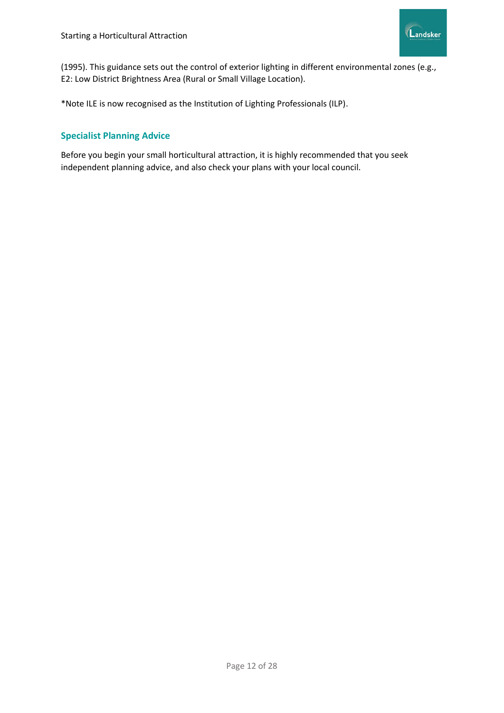

(1995). This guidance sets out the control of exterior lighting in different environmental zones (e.g., E2: Low District Brightness Area (Rural or Small Village Location).

\*Note ILE is now recognised as the Institution of Lighting Professionals (ILP).

# **Specialist Planning Advice**

Before you begin your small horticultural attraction, it is highly recommended that you seek independent planning advice, and also check your plans with your local council.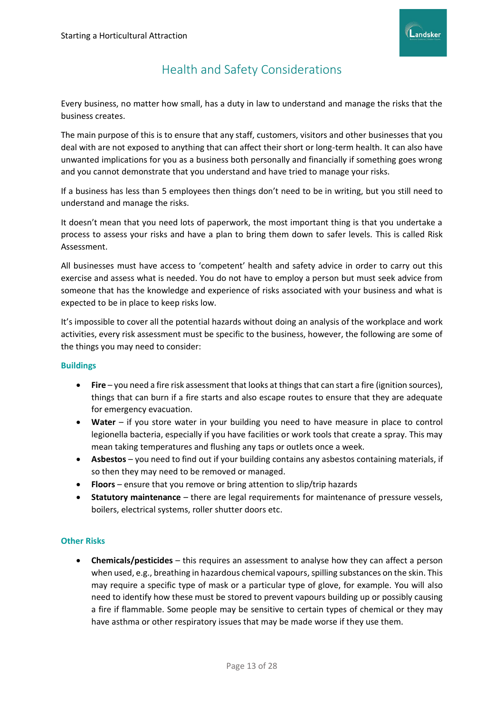

# Health and Safety Considerations

<span id="page-13-0"></span>Every business, no matter how small, has a duty in law to understand and manage the risks that the business creates.

The main purpose of this is to ensure that any staff, customers, visitors and other businesses that you deal with are not exposed to anything that can affect their short or long-term health. It can also have unwanted implications for you as a business both personally and financially if something goes wrong and you cannot demonstrate that you understand and have tried to manage your risks.

If a business has less than 5 employees then things don't need to be in writing, but you still need to understand and manage the risks.

It doesn't mean that you need lots of paperwork, the most important thing is that you undertake a process to assess your risks and have a plan to bring them down to safer levels. This is called Risk Assessment.

All businesses must have access to 'competent' health and safety advice in order to carry out this exercise and assess what is needed. You do not have to employ a person but must seek advice from someone that has the knowledge and experience of risks associated with your business and what is expected to be in place to keep risks low.

It's impossible to cover all the potential hazards without doing an analysis of the workplace and work activities, every risk assessment must be specific to the business, however, the following are some of the things you may need to consider:

#### **Buildings**

- **Fire**  you need a fire risk assessment that looks at things that can start a fire (ignition sources), things that can burn if a fire starts and also escape routes to ensure that they are adequate for emergency evacuation.
- **Water** if you store water in your building you need to have measure in place to control legionella bacteria, especially if you have facilities or work tools that create a spray. This may mean taking temperatures and flushing any taps or outlets once a week.
- **Asbestos** you need to find out if your building contains any asbestos containing materials, if so then they may need to be removed or managed.
- **Floors** ensure that you remove or bring attention to slip/trip hazards
- **Statutory maintenance** there are legal requirements for maintenance of pressure vessels, boilers, electrical systems, roller shutter doors etc.

#### **Other Risks**

• **Chemicals/pesticides** – this requires an assessment to analyse how they can affect a person when used, e.g., breathing in hazardous chemical vapours, spilling substances on the skin. This may require a specific type of mask or a particular type of glove, for example. You will also need to identify how these must be stored to prevent vapours building up or possibly causing a fire if flammable. Some people may be sensitive to certain types of chemical or they may have asthma or other respiratory issues that may be made worse if they use them.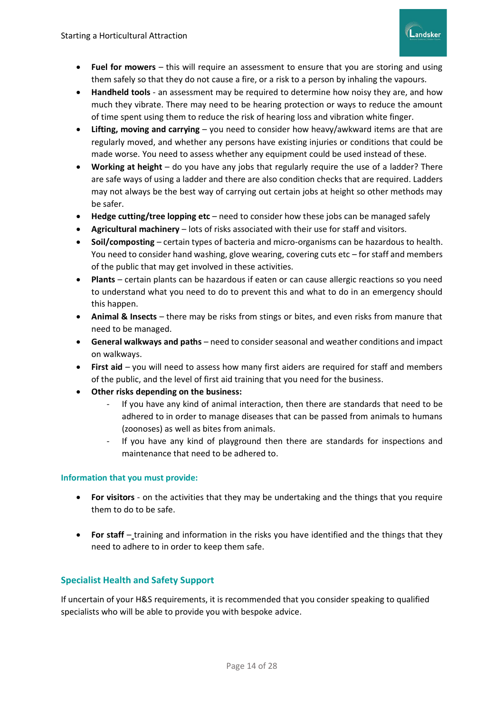

- **Fuel for mowers** this will require an assessment to ensure that you are storing and using them safely so that they do not cause a fire, or a risk to a person by inhaling the vapours.
- **Handheld tools** an assessment may be required to determine how noisy they are, and how much they vibrate. There may need to be hearing protection or ways to reduce the amount of time spent using them to reduce the risk of hearing loss and vibration white finger.
- **Lifting, moving and carrying**  you need to consider how heavy/awkward items are that are regularly moved, and whether any persons have existing injuries or conditions that could be made worse. You need to assess whether any equipment could be used instead of these.
- **Working at height**  do you have any jobs that regularly require the use of a ladder? There are safe ways of using a ladder and there are also condition checks that are required. Ladders may not always be the best way of carrying out certain jobs at height so other methods may be safer.
- Hedge cutting/tree lopping etc need to consider how these jobs can be managed safely
- **Agricultural machinery**  lots of risks associated with their use for staff and visitors.
- **Soil/composting** certain types of bacteria and micro-organisms can be hazardous to health. You need to consider hand washing, glove wearing, covering cuts etc – for staff and members of the public that may get involved in these activities.
- Plants certain plants can be hazardous if eaten or can cause allergic reactions so you need to understand what you need to do to prevent this and what to do in an emergency should this happen.
- **Animal & Insects**  there may be risks from stings or bites, and even risks from manure that need to be managed.
- **General walkways and paths** need to consider seasonal and weather conditions and impact on walkways.
- First aid you will need to assess how many first aiders are required for staff and members of the public, and the level of first aid training that you need for the business.
- **Other risks depending on the business:**
	- If you have any kind of animal interaction, then there are standards that need to be adhered to in order to manage diseases that can be passed from animals to humans (zoonoses) as well as bites from animals.
	- If you have any kind of playground then there are standards for inspections and maintenance that need to be adhered to.

# **Information that you must provide:**

- **For visitors** on the activities that they may be undertaking and the things that you require them to do to be safe.
- **For staff** training and information in the risks you have identified and the things that they need to adhere to in order to keep them safe.

# **Specialist Health and Safety Support**

If uncertain of your H&S requirements, it is recommended that you consider speaking to qualified specialists who will be able to provide you with bespoke advice.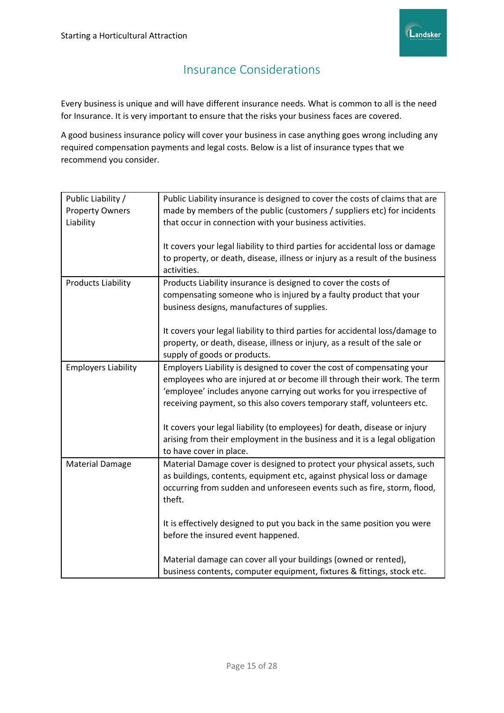

# Insurance Considerations

<span id="page-15-0"></span>Every business is unique and will have different insurance needs. What is common to all is the need for Insurance. It is very important to ensure that the risks your business faces are covered.

A good business insurance policy will cover your business in case anything goes wrong including any required compensation payments and legal costs. Below is a list of insurance types that we recommend you consider.

| Public Liability /         | Public Liability insurance is designed to cover the costs of claims that are  |
|----------------------------|-------------------------------------------------------------------------------|
| <b>Property Owners</b>     | made by members of the public (customers / suppliers etc) for incidents       |
| Liability                  | that occur in connection with your business activities.                       |
|                            |                                                                               |
|                            | It covers your legal liability to third parties for accidental loss or damage |
|                            | to property, or death, disease, illness or injury as a result of the business |
|                            | activities.                                                                   |
|                            |                                                                               |
| <b>Products Liability</b>  | Products Liability insurance is designed to cover the costs of                |
|                            | compensating someone who is injured by a faulty product that your             |
|                            | business designs, manufactures of supplies.                                   |
|                            |                                                                               |
|                            | It covers your legal liability to third parties for accidental loss/damage to |
|                            | property, or death, disease, illness or injury, as a result of the sale or    |
|                            | supply of goods or products.                                                  |
| <b>Employers Liability</b> | Employers Liability is designed to cover the cost of compensating your        |
|                            | employees who are injured at or become ill through their work. The term       |
|                            | 'employee' includes anyone carrying out works for you irrespective of         |
|                            | receiving payment, so this also covers temporary staff, volunteers etc.       |
|                            |                                                                               |
|                            | It covers your legal liability (to employees) for death, disease or injury    |
|                            | arising from their employment in the business and it is a legal obligation    |
|                            | to have cover in place.                                                       |
| <b>Material Damage</b>     | Material Damage cover is designed to protect your physical assets, such       |
|                            | as buildings, contents, equipment etc, against physical loss or damage        |
|                            |                                                                               |
|                            | occurring from sudden and unforeseen events such as fire, storm, flood,       |
|                            | theft.                                                                        |
|                            |                                                                               |
|                            | It is effectively designed to put you back in the same position you were      |
|                            | before the insured event happened.                                            |
|                            | Material damage can cover all your buildings (owned or rented),               |
|                            | business contents, computer equipment, fixtures & fittings, stock etc.        |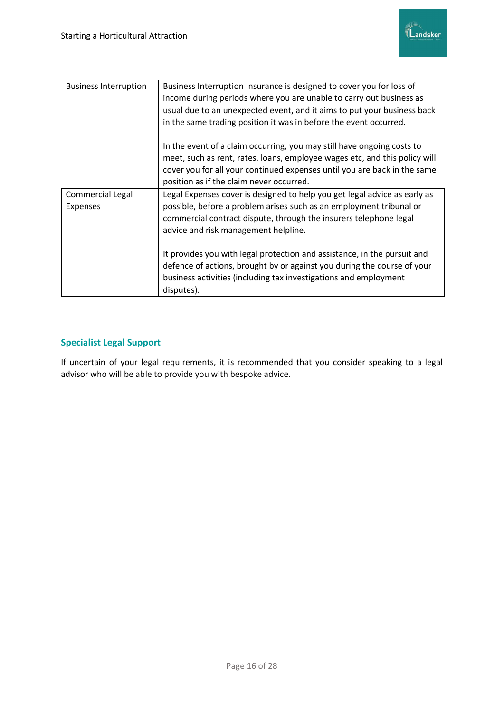

| <b>Business Interruption</b>        | Business Interruption Insurance is designed to cover you for loss of<br>income during periods where you are unable to carry out business as<br>usual due to an unexpected event, and it aims to put your business back<br>in the same trading position it was in before the event occurred. |
|-------------------------------------|---------------------------------------------------------------------------------------------------------------------------------------------------------------------------------------------------------------------------------------------------------------------------------------------|
|                                     | In the event of a claim occurring, you may still have ongoing costs to<br>meet, such as rent, rates, loans, employee wages etc, and this policy will<br>cover you for all your continued expenses until you are back in the same<br>position as if the claim never occurred.                |
| Commercial Legal<br><b>Expenses</b> | Legal Expenses cover is designed to help you get legal advice as early as<br>possible, before a problem arises such as an employment tribunal or<br>commercial contract dispute, through the insurers telephone legal<br>advice and risk management helpline.                               |
|                                     | It provides you with legal protection and assistance, in the pursuit and<br>defence of actions, brought by or against you during the course of your<br>business activities (including tax investigations and employment<br>disputes).                                                       |

# **Specialist Legal Support**

If uncertain of your legal requirements, it is recommended that you consider speaking to a legal advisor who will be able to provide you with bespoke advice.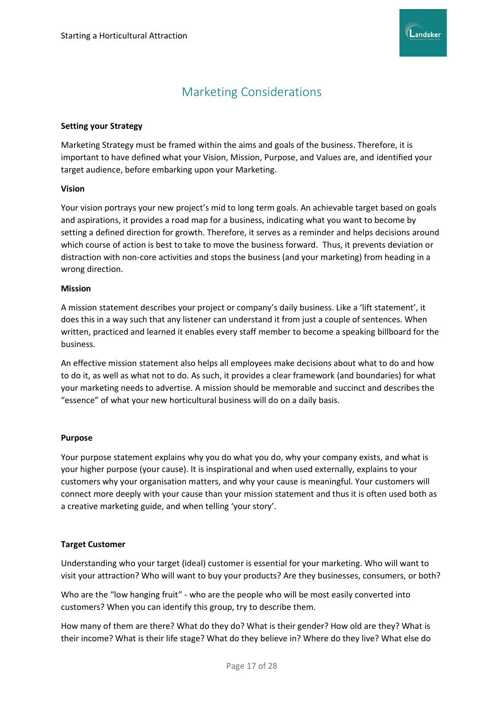

# Marketing Considerations

#### <span id="page-17-0"></span>**Setting your Strategy**

Marketing Strategy must be framed within the aims and goals of the business. Therefore, it is important to have defined what your Vision, Mission, Purpose, and Values are, and identified your target audience, before embarking upon your Marketing.

#### **Vision**

Your vision portrays your new project's mid to long term goals. An achievable target based on goals and aspirations, it provides a road map for a business, indicating what you want to become by setting a defined direction for growth. Therefore, it serves as a reminder and helps decisions around which course of action is best to take to move the business forward. Thus, it prevents deviation or distraction with non-core activities and stops the business (and your marketing) from heading in a wrong direction.

#### **Mission**

A mission statement describes your project or company's daily business. Like a 'lift statement', it does this in a way such that any listener can understand it from just a couple of sentences. When written, practiced and learned it enables every staff member to become a speaking billboard for the business.

An effective mission statement also helps all employees make decisions about what to do and how to do it, as well as what not to do. As such, it provides a clear framework (and boundaries) for what your marketing needs to advertise. A mission should be memorable and succinct and describes the "essence" of what your new horticultural business will do on a daily basis.

#### **Purpose**

Your purpose statement explains why you do what you do, why your company exists, and what is your higher purpose (your cause). It is inspirational and when used externally, explains to your customers why your organisation matters, and why your cause is meaningful. Your customers will connect more deeply with your cause than your mission statement and thus it is often used both as a creative marketing guide, and when telling 'your story'.

#### **Target Customer**

Understanding who your target (ideal) customer is essential for your marketing. Who will want to visit your attraction? Who will want to buy your products? Are they businesses, consumers, or both?

Who are the "low hanging fruit" - who are the people who will be most easily converted into customers? When you can identify this group, try to describe them.

How many of them are there? What do they do? What is their gender? How old are they? What is their income? What is their life stage? What do they believe in? Where do they live? What else do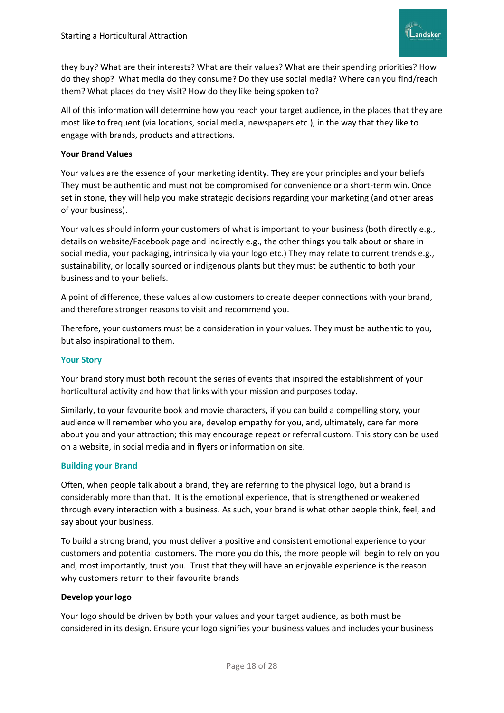

they buy? What are their interests? What are their values? What are their spending priorities? How do they shop? What media do they consume? Do they use social media? Where can you find/reach them? What places do they visit? How do they like being spoken to?

All of this information will determine how you reach your target audience, in the places that they are most like to frequent (via locations, social media, newspapers etc.), in the way that they like to engage with brands, products and attractions.

#### **Your Brand Values**

Your values are the essence of your marketing identity. They are your principles and your beliefs They must be authentic and must not be compromised for convenience or a short-term win. Once set in stone, they will help you make strategic decisions regarding your marketing (and other areas of your business).

Your values should inform your customers of what is important to your business (both directly e.g., details on website/Facebook page and indirectly e.g., the other things you talk about or share in social media, your packaging, intrinsically via your logo etc.) They may relate to current trends e.g., sustainability, or locally sourced or indigenous plants but they must be authentic to both your business and to your beliefs.

A point of difference, these values allow customers to create deeper connections with your brand, and therefore stronger reasons to visit and recommend you.

Therefore, your customers must be a consideration in your values. They must be authentic to you, but also inspirational to them.

#### **Your Story**

Your brand story must both recount the series of events that inspired the establishment of your horticultural activity and how that links with your mission and purposes today.

Similarly, to your favourite book and movie characters, if you can build a compelling story, your audience will remember who you are, develop empathy for you, and, ultimately, care far more about you and your attraction; this may encourage repeat or referral custom. This story can be used on a website, in social media and in flyers or information on site.

#### **Building your Brand**

Often, when people talk about a brand, they are referring to the physical logo, but a brand is considerably more than that. It is the emotional experience, that is strengthened or weakened through every interaction with a business. As such, your brand is what other people think, feel, and say about your business.

To build a strong brand, you must deliver a positive and consistent emotional experience to your customers and potential customers. The more you do this, the more people will begin to rely on you and, most importantly, trust you. Trust that they will have an enjoyable experience is the reason why customers return to their favourite brands

#### **Develop your logo**

Your logo should be driven by both your values and your target audience, as both must be considered in its design. Ensure your logo signifies your business values and includes your business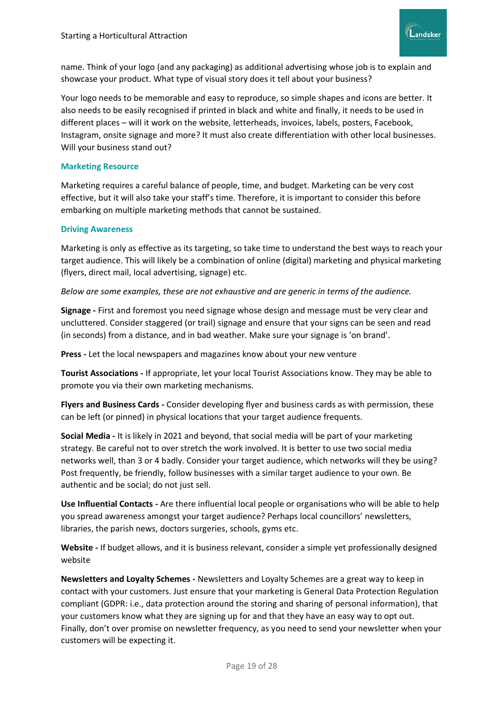

name. Think of your logo (and any packaging) as additional advertising whose job is to explain and showcase your product. What type of visual story does it tell about your business?

Your logo needs to be memorable and easy to reproduce, so simple shapes and icons are better. It also needs to be easily recognised if printed in black and white and finally, it needs to be used in different places – will it work on the website, letterheads, invoices, labels, posters, Facebook, Instagram, onsite signage and more? It must also create differentiation with other local businesses. Will your business stand out?

#### **Marketing Resource**

Marketing requires a careful balance of people, time, and budget. Marketing can be very cost effective, but it will also take your staff's time. Therefore, it is important to consider this before embarking on multiple marketing methods that cannot be sustained.

#### **Driving Awareness**

Marketing is only as effective as its targeting, so take time to understand the best ways to reach your target audience. This will likely be a combination of online (digital) marketing and physical marketing (flyers, direct mail, local advertising, signage) etc.

*Below are some examples, these are not exhaustive and are generic in terms of the audience.*

**Signage -** First and foremost you need signage whose design and message must be very clear and uncluttered. Consider staggered (or trail) signage and ensure that your signs can be seen and read (in seconds) from a distance, and in bad weather. Make sure your signage is 'on brand'.

**Press -** Let the local newspapers and magazines know about your new venture

**Tourist Associations -** If appropriate, let your local Tourist Associations know. They may be able to promote you via their own marketing mechanisms.

**Flyers and Business Cards -** Consider developing flyer and business cards as with permission, these can be left (or pinned) in physical locations that your target audience frequents.

**Social Media -** It is likely in 2021 and beyond, that social media will be part of your marketing strategy. Be careful not to over stretch the work involved. It is better to use two social media networks well, than 3 or 4 badly. Consider your target audience, which networks will they be using? Post frequently, be friendly, follow businesses with a similar target audience to your own. Be authentic and be social; do not just sell.

**Use Influential Contacts -** Are there influential local people or organisations who will be able to help you spread awareness amongst your target audience? Perhaps local councillors' newsletters, libraries, the parish news, doctors surgeries, schools, gyms etc.

**Website -** If budget allows, and it is business relevant, consider a simple yet professionally designed website

**Newsletters and Loyalty Schemes -** Newsletters and Loyalty Schemes are a great way to keep in contact with your customers. Just ensure that your marketing is General Data Protection Regulation compliant (GDPR: i.e., data protection around the storing and sharing of personal information), that your customers know what they are signing up for and that they have an easy way to opt out. Finally, don't over promise on newsletter frequency, as you need to send your newsletter when your customers will be expecting it.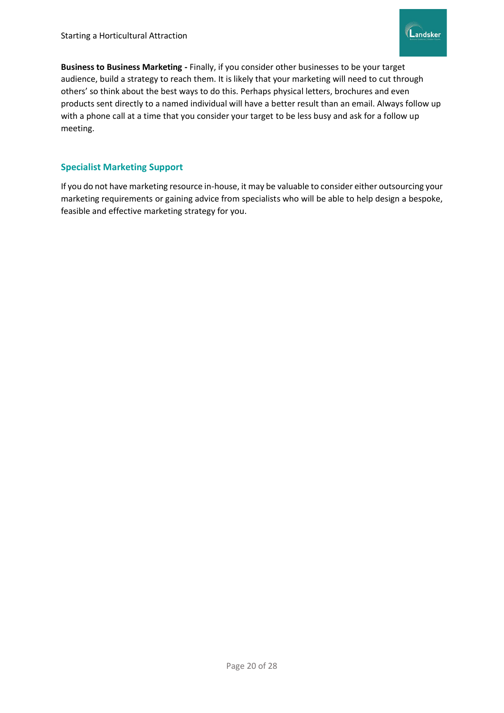

**Business to Business Marketing -** Finally, if you consider other businesses to be your target audience, build a strategy to reach them. It is likely that your marketing will need to cut through others' so think about the best ways to do this. Perhaps physical letters, brochures and even products sent directly to a named individual will have a better result than an email. Always follow up with a phone call at a time that you consider your target to be less busy and ask for a follow up meeting.

# **Specialist Marketing Support**

If you do not have marketing resource in-house, it may be valuable to consider either outsourcing your marketing requirements or gaining advice from specialists who will be able to help design a bespoke, feasible and effective marketing strategy for you.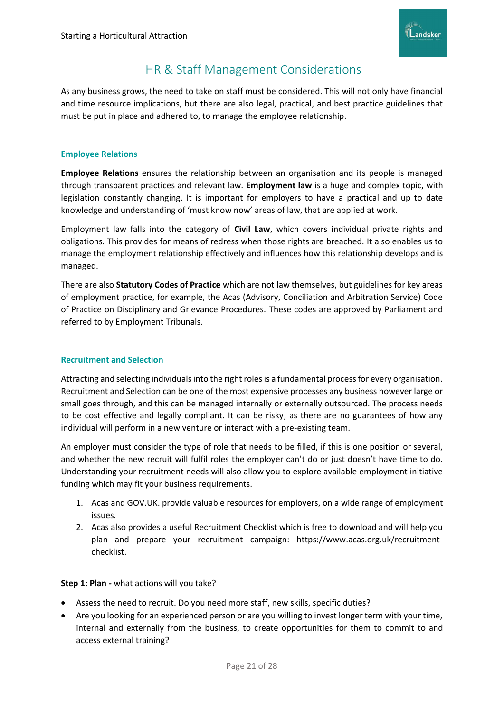

# HR & Staff Management Considerations

As any business grows, the need to take on staff must be considered. This will not only have financial and time resource implications, but there are also legal, practical, and best practice guidelines that must be put in place and adhered to, to manage the employee relationship.

# **Employee Relations**

**Employee Relations** ensures the relationship between an organisation and its people is managed through transparent practices and relevant law. **Employment law** is a huge and complex topic, with legislation constantly changing. It is important for employers to have a practical and up to date knowledge and understanding of 'must know now' areas of law, that are applied at work.

Employment law falls into the category of **Civil Law**, which covers individual private rights and obligations. This provides for means of redress when those rights are breached. It also enables us to manage the employment relationship effectively and influences how this relationship develops and is managed.

There are also **Statutory Codes of Practice** which are not law themselves, but guidelines for key areas of employment practice, for example, the Acas (Advisory, Conciliation and Arbitration Service) Code of Practice on Disciplinary and Grievance Procedures. These codes are approved by Parliament and referred to by Employment Tribunals.

# **Recruitment and Selection**

Attracting and selecting individuals into the right roles is a fundamental process for every organisation. Recruitment and Selection can be one of the most expensive processes any business however large or small goes through, and this can be managed internally or externally outsourced. The process needs to be cost effective and legally compliant. It can be risky, as there are no guarantees of how any individual will perform in a new venture or interact with a pre-existing team.

An employer must consider the type of role that needs to be filled, if this is one position or several, and whether the new recruit will fulfil roles the employer can't do or just doesn't have time to do. Understanding your recruitment needs will also allow you to explore available employment initiative funding which may fit your business requirements.

- 1. Acas and GOV.UK. provide valuable resources for employers, on a wide range of employment issues.
- 2. Acas also provides a useful Recruitment Checklist which is free to download and will help you plan and prepare your recruitment campaign: https://www.acas.org.uk/recruitmentchecklist.

#### **Step 1: Plan -** what actions will you take?

- Assess the need to recruit. Do you need more staff, new skills, specific duties?
- Are you looking for an experienced person or are you willing to invest longer term with your time, internal and externally from the business, to create opportunities for them to commit to and access external training?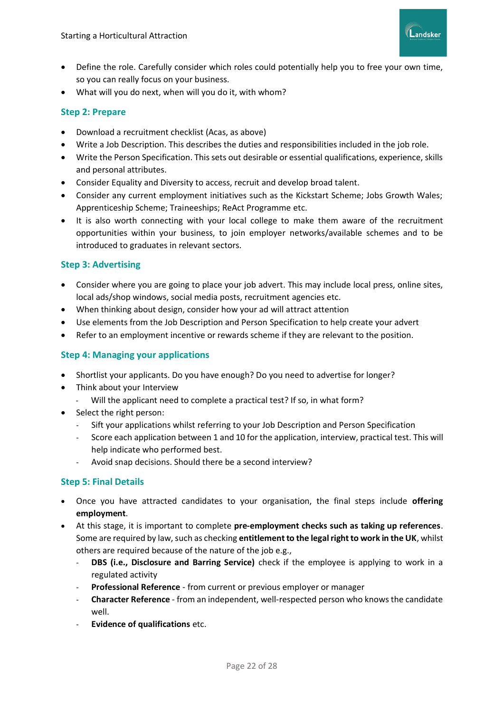

- Define the role. Carefully consider which roles could potentially help you to free your own time, so you can really focus on your business.
- What will you do next, when will you do it, with whom?

# **Step 2: Prepare**

- Download a recruitment checklist (Acas, as above)
- Write a Job Description. This describes the duties and responsibilities included in the job role.
- Write the Person Specification. This sets out desirable or essential qualifications, experience, skills and personal attributes.
- Consider Equality and Diversity to access, recruit and develop broad talent.
- Consider any current employment initiatives such as the Kickstart Scheme; Jobs Growth Wales; Apprenticeship Scheme; Traineeships; ReAct Programme etc.
- It is also worth connecting with your local college to make them aware of the recruitment opportunities within your business, to join employer networks/available schemes and to be introduced to graduates in relevant sectors.

# **Step 3: Advertising**

- Consider where you are going to place your job advert. This may include local press, online sites, local ads/shop windows, social media posts, recruitment agencies etc.
- When thinking about design, consider how your ad will attract attention
- Use elements from the Job Description and Person Specification to help create your advert
- Refer to an employment incentive or rewards scheme if they are relevant to the position.

# **Step 4: Managing your applications**

- Shortlist your applicants. Do you have enough? Do you need to advertise for longer?
- Think about your Interview
	- Will the applicant need to complete a practical test? If so, in what form?
- Select the right person:
	- Sift your applications whilst referring to your Job Description and Person Specification
	- Score each application between 1 and 10 for the application, interview, practical test. This will help indicate who performed best.
	- Avoid snap decisions. Should there be a second interview?

# **Step 5: Final Details**

- Once you have attracted candidates to your organisation, the final steps include **offering employment**.
- At this stage, it is important to complete **pre-employment checks such as taking up references**. Some are required by law, such as checking **entitlement to the legal right to work in the UK**, whilst others are required because of the nature of the job e.g.,
	- **DBS (i.e., Disclosure and Barring Service)** check if the employee is applying to work in a regulated activity
	- **Professional Reference** from current or previous employer or manager
	- **Character Reference** from an independent, well-respected person who knows the candidate well.
	- **Evidence of qualifications** etc.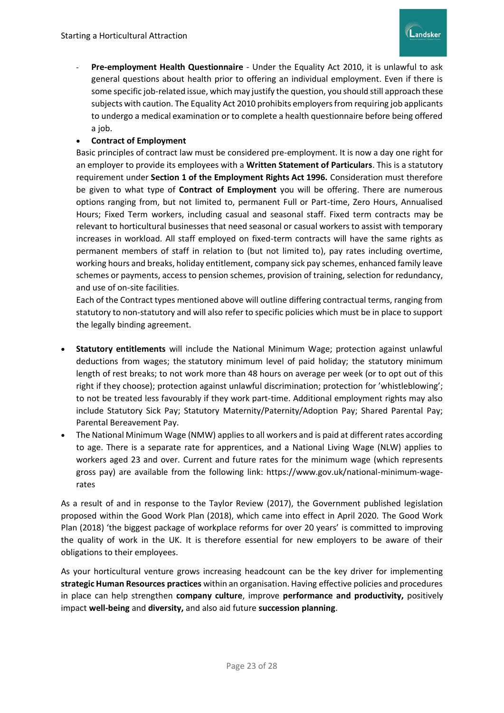

- **Pre-employment Health Questionnaire** - Under the Equality Act 2010, it is unlawful to ask general questions about health prior to offering an individual employment. Even if there is some specific job-related issue, which may justify the question, you should still approach these subjects with caution. The Equality Act 2010 prohibits employers from requiring job applicants to undergo a medical examination or to complete a health questionnaire before being offered a job.

# • **Contract of Employment**

Basic principles of contract law must be considered pre-employment. It is now a day one right for an employer to provide its employees with a **Written Statement of Particulars**. This is a statutory requirement under **Section 1 of the Employment Rights Act 1996.** Consideration must therefore be given to what type of **Contract of Employment** you will be offering. There are numerous options ranging from, but not limited to, permanent Full or Part-time, Zero Hours, Annualised Hours; Fixed Term workers, including casual and seasonal staff. Fixed term contracts may be relevant to horticultural businesses that need seasonal or casual workers to assist with temporary increases in workload. All staff employed on fixed-term contracts will have the same rights as permanent members of staff in relation to (but not limited to), pay rates including overtime, working hours and breaks, holiday entitlement, company sick pay schemes, enhanced family leave schemes or payments, access to pension schemes, provision of training, selection for redundancy, and use of on-site facilities.

Each of the Contract types mentioned above will outline differing contractual terms, ranging from statutory to non-statutory and will also refer to specific policies which must be in place to support the legally binding agreement.

- **Statutory entitlements** will include the National Minimum Wage; protection against unlawful deductions from wages; the statutory minimum level of paid holiday; the statutory minimum length of rest breaks; to not work more than 48 hours on average per week (or to opt out of this right if they choose); protection against unlawful discrimination; protection for 'whistleblowing'; to not be treated less favourably if they work part-time. Additional employment rights may also include Statutory Sick Pay; Statutory Maternity/Paternity/Adoption Pay; Shared Parental Pay; Parental Bereavement Pay.
- The National Minimum Wage (NMW) applies to all workers and is paid at different rates according to age. There is a separate rate for apprentices, and a National Living Wage (NLW) applies to workers aged 23 and over. Current and future rates for the minimum wage (which represents gross pay) are available from the following link: https://www.gov.uk/national-minimum-wagerates

As a result of and in response to the Taylor Review (2017), the Government published legislation proposed within the Good Work Plan (2018), which came into effect in April 2020. The Good Work Plan (2018) 'the biggest package of workplace reforms for over 20 years' is committed to improving the quality of work in the UK. It is therefore essential for new employers to be aware of their obligations to their employees.

As your horticultural venture grows increasing headcount can be the key driver for implementing **strategic Human Resources practices** within an organisation. Having effective policies and procedures in place can help strengthen **company culture**, improve **performance and productivity,** positively impact **well-being** and **diversity,** and also aid future **succession planning**.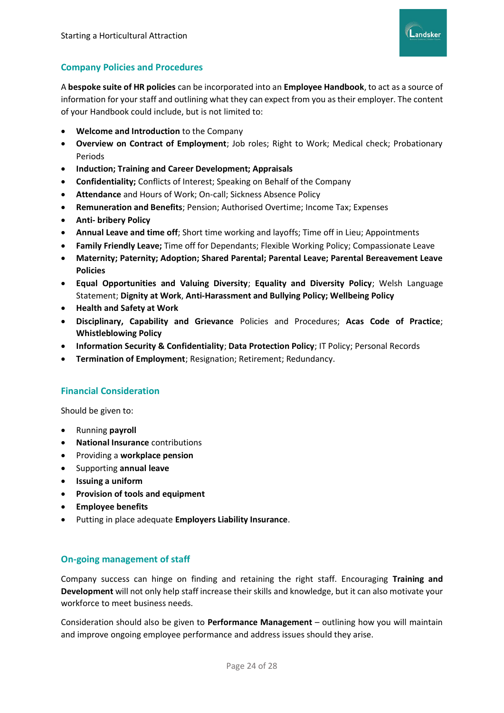

# **Company Policies and Procedures**

A **bespoke suite of HR policies** can be incorporated into an **Employee Handbook**, to act as a source of information for your staff and outlining what they can expect from you as their employer. The content of your Handbook could include, but is not limited to:

- **Welcome and Introduction** to the Company
- **Overview on Contract of Employment**; Job roles; Right to Work; Medical check; Probationary Periods
- **Induction; Training and Career Development; Appraisals**
- **Confidentiality;** Conflicts of Interest; Speaking on Behalf of the Company
- **Attendance** and Hours of Work; On-call; Sickness Absence Policy
- **Remuneration and Benefits**; Pension; Authorised Overtime; Income Tax; Expenses
- **Anti- bribery Policy**
- **Annual Leave and time off**; Short time working and layoffs; Time off in Lieu; Appointments
- **Family Friendly Leave;** Time off for Dependants; Flexible Working Policy; Compassionate Leave
- **Maternity; Paternity; Adoption; Shared Parental; Parental Leave; Parental Bereavement Leave Policies**
- **Equal Opportunities and Valuing Diversity**; **Equality and Diversity Policy**; Welsh Language Statement; **Dignity at Work**, **Anti-Harassment and Bullying Policy; Wellbeing Policy**
- **Health and Safety at Work**
- **Disciplinary, Capability and Grievance** Policies and Procedures; **Acas Code of Practice**; **Whistleblowing Policy**
- **Information Security & Confidentiality**; **Data Protection Policy**; IT Policy; Personal Records
- **Termination of Employment**; Resignation; Retirement; Redundancy.

# **Financial Consideration**

Should be given to:

- Running **payroll**
- **National Insurance** contributions
- Providing a **workplace pension**
- Supporting **annual leave**
- **Issuing a uniform**
- **Provision of tools and equipment**
- **Employee benefits**
- Putting in place adequate **Employers Liability Insurance**.

# **On-going management of staff**

Company success can hinge on finding and retaining the right staff. Encouraging **Training and Development** will not only help staff increase their skills and knowledge, but it can also motivate your workforce to meet business needs.

Consideration should also be given to **Performance Management** – outlining how you will maintain and improve ongoing employee performance and address issues should they arise.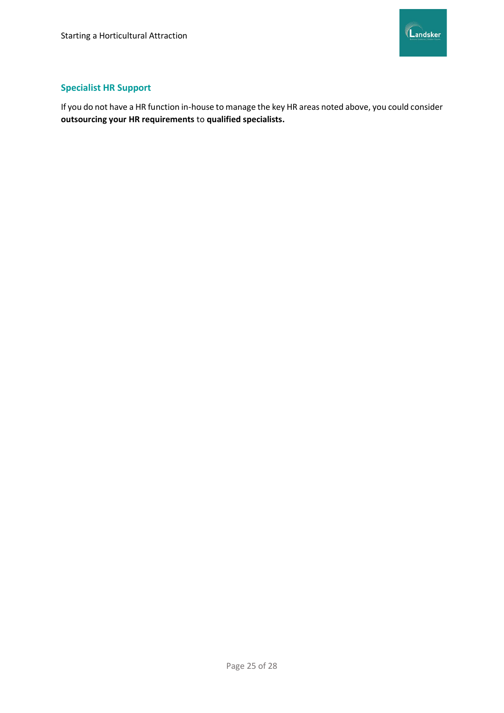

# **Specialist HR Support**

If you do not have a HR function in-house to manage the key HR areas noted above, you could consider **outsourcing your HR requirements** to **qualified specialists.**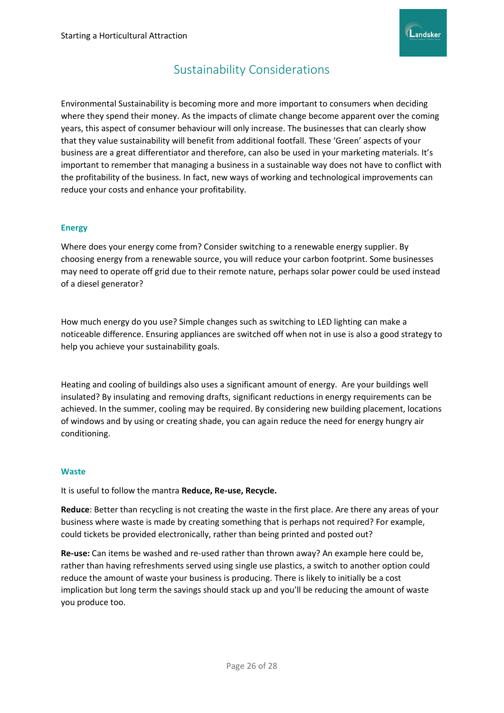

# Sustainability Considerations

<span id="page-26-0"></span>Environmental Sustainability is becoming more and more important to consumers when deciding where they spend their money. As the impacts of climate change become apparent over the coming years, this aspect of consumer behaviour will only increase. The businesses that can clearly show that they value sustainability will benefit from additional footfall. These 'Green' aspects of your business are a great differentiator and therefore, can also be used in your marketing materials. It's important to remember that managing a business in a sustainable way does not have to conflict with the profitability of the business. In fact, new ways of working and technological improvements can reduce your costs and enhance your profitability.

#### **Energy**

Where does your energy come from? Consider switching to a renewable energy supplier. By choosing energy from a renewable source, you will reduce your carbon footprint. Some businesses may need to operate off grid due to their remote nature, perhaps solar power could be used instead of a diesel generator?

How much energy do you use? Simple changes such as switching to LED lighting can make a noticeable difference. Ensuring appliances are switched off when not in use is also a good strategy to help you achieve your sustainability goals.

Heating and cooling of buildings also uses a significant amount of energy. Are your buildings well insulated? By insulating and removing drafts, significant reductions in energy requirements can be achieved. In the summer, cooling may be required. By considering new building placement, locations of windows and by using or creating shade, you can again reduce the need for energy hungry air conditioning.

#### **Waste**

It is useful to follow the mantra **Reduce, Re-use, Recycle.**

**Reduce**: Better than recycling is not creating the waste in the first place. Are there any areas of your business where waste is made by creating something that is perhaps not required? For example, could tickets be provided electronically, rather than being printed and posted out?

**Re-use:** Can items be washed and re-used rather than thrown away? An example here could be, rather than having refreshments served using single use plastics, a switch to another option could reduce the amount of waste your business is producing. There is likely to initially be a cost implication but long term the savings should stack up and you'll be reducing the amount of waste you produce too.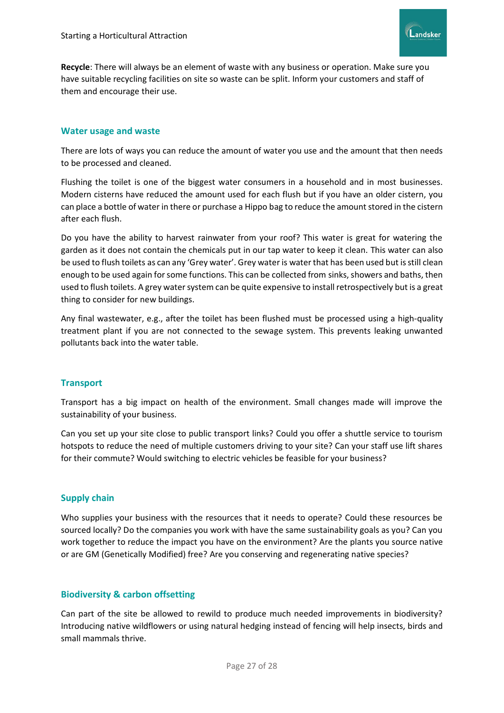

**Recycle**: There will always be an element of waste with any business or operation. Make sure you have suitable recycling facilities on site so waste can be split. Inform your customers and staff of them and encourage their use.

#### **Water usage and waste**

There are lots of ways you can reduce the amount of water you use and the amount that then needs to be processed and cleaned.

Flushing the toilet is one of the biggest water consumers in a household and in most businesses. Modern cisterns have reduced the amount used for each flush but if you have an older cistern, you can place a bottle of water in there or purchase a Hippo bag to reduce the amount stored in the cistern after each flush.

Do you have the ability to harvest rainwater from your roof? This water is great for watering the garden as it does not contain the chemicals put in our tap water to keep it clean. This water can also be used to flush toilets as can any 'Grey water'. Grey water is water that has been used but is still clean enough to be used again for some functions. This can be collected from sinks, showers and baths, then used to flush toilets. A grey water system can be quite expensive to install retrospectively but is a great thing to consider for new buildings.

Any final wastewater, e.g., after the toilet has been flushed must be processed using a high-quality treatment plant if you are not connected to the sewage system. This prevents leaking unwanted pollutants back into the water table.

# **Transport**

Transport has a big impact on health of the environment. Small changes made will improve the sustainability of your business.

Can you set up your site close to public transport links? Could you offer a shuttle service to tourism hotspots to reduce the need of multiple customers driving to your site? Can your staff use lift shares for their commute? Would switching to electric vehicles be feasible for your business?

# **Supply chain**

Who supplies your business with the resources that it needs to operate? Could these resources be sourced locally? Do the companies you work with have the same sustainability goals as you? Can you work together to reduce the impact you have on the environment? Are the plants you source native or are GM (Genetically Modified) free? Are you conserving and regenerating native species?

#### **Biodiversity & carbon offsetting**

Can part of the site be allowed to rewild to produce much needed improvements in biodiversity? Introducing native wildflowers or using natural hedging instead of fencing will help insects, birds and small mammals thrive.